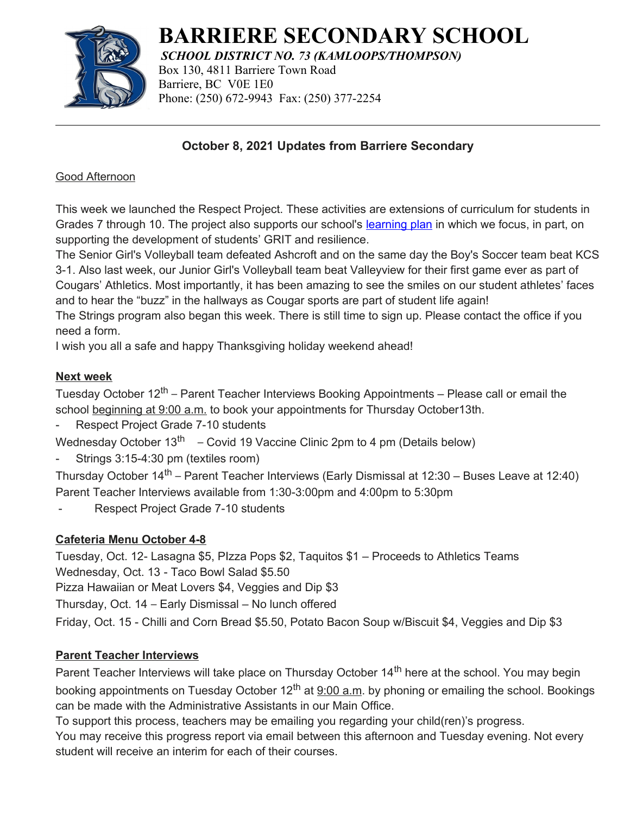

# **BARRIERE SECONDARY SCHOOL**

*SCHOOL DISTRICT NO. 73 (KAMLOOPS/THOMPSON)* Box 130, 4811 Barriere Town Road Barriere, BC V0E 1E0 Phone: (250) 672-9943 Fax: (250) 377-2254

#### **October 8, 2021 Updates from Barriere Secondary**

#### Good Afternoon

This week we launched the Respect Project. These activities are extensions of curriculum for students in Grades 7 through 10. The project also supports our school's [learning plan](https://www.sd73.bc.ca/en/schools-programs/resources/SLP/Barriere_Secondary_June_2021.pdf) in which we focus, in part, on supporting the development of students' GRIT and resilience.

The Senior Girl's Volleyball team defeated Ashcroft and on the same day the Boy's Soccer team beat KCS 3-1. Also last week, our Junior Girl's Volleyball team beat Valleyview for their first game ever as part of Cougars' Athletics. Most importantly, it has been amazing to see the smiles on our student athletes' faces and to hear the "buzz" in the hallways as Cougar sports are part of student life again!

The Strings program also began this week. There is still time to sign up. Please contact the office if you need a form.

I wish you all a safe and happy Thanksgiving holiday weekend ahead!

#### **Next week**

Tuesday October 12<sup>th</sup> – Parent Teacher Interviews Booking Appointments – Please call or email the school beginning at 9:00 a.m. to book your appointments for Thursday October13th.

Respect Project Grade 7-10 students

Wednesday October 13<sup>th</sup> – Covid 19 Vaccine Clinic 2pm to 4 pm (Details below)

Strings 3:15-4:30 pm (textiles room)

Thursday October 14<sup>th</sup> – Parent Teacher Interviews (Early Dismissal at 12:30 – Buses Leave at 12:40) Parent Teacher Interviews available from 1:30-3:00pm and 4:00pm to 5:30pm

- Respect Project Grade 7-10 students

# **Cafeteria Menu October 4-8**

Tuesday, Oct. 12- Lasagna \$5, PIzza Pops \$2, Taquitos \$1 – Proceeds to Athletics Teams Wednesday, Oct. 13 - Taco Bowl Salad \$5.50 Pizza Hawaiian or Meat Lovers \$4, Veggies and Dip \$3

Thursday, Oct. 14 – Early Dismissal – No lunch offered

Friday, Oct. 15 - Chilli and Corn Bread \$5.50, Potato Bacon Soup w/Biscuit \$4, Veggies and Dip \$3

# **Parent Teacher Interviews**

Parent Teacher Interviews will take place on Thursday October 14<sup>th</sup> here at the school. You may begin booking appointments on Tuesday October  $12^{th}$  at  $9:00$  a.m. by phoning or emailing the school. Bookings can be made with the Administrative Assistants in our Main Office.

To support this process, teachers may be emailing you regarding your child(ren)'s progress.

You may receive this progress report via email between this afternoon and Tuesday evening. Not every student will receive an interim for each of their courses.